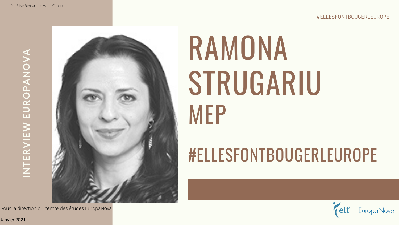# RAMONA STRUGARIU MEP

## #ELLESFONTBOUGERLEUROPE

**IN TERVIE N EUROPANO** $\geq$ **A**



Janvier 2021

Sous la direction du centre des études EuropaNova

## #ELLESFONTBOUGERLEUROPE

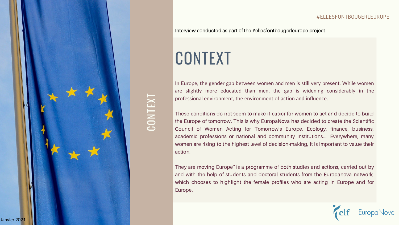## CONTEXT

 $\bigcup$ 

In Europe, the gender gap between women and men is still very present. While women are slightly more educated than men, the gap is widening considerably in the professional environment, the environment of action and influence.

These conditions do not seem to make it easier for women to act and decide to build the Europe of tomorrow. This is why EuropaNova has decided to create the Scientific Council of Women Acting for Tomorrow's Europe. Ecology, finance, business, academic professions or national and community institutions.... Everywhere, many women are rising to the highest level of decision-making, it is important to value their action.

They are moving Europe" is a programme of both studies and actions, carried out by and with the help of students and doctoral students from the Europanova network, which chooses to highlight the female profiles who are acting in Europe and for Europe.

O

NTE $\bm{\times}$ T

### Interview conducted as part of the #ellesfontbougerleurope project



### #ELLESFONTBOUGERLEUROPE

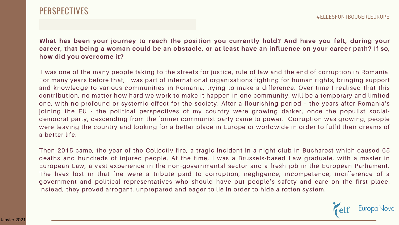What has been your journey to reach the position you currently hold? And have you felt, during your career, that being a woman could be an obstacle, or at least have an influence on your career path? If so, **how did you overcome it?**

I was one of the many people taking to the streets for justice, rule of law and the end of corruption in Romania. For many years before that, I was part of international organisations fighting for human rights, bringing support and knowledge to various communities in Romania, trying to make a difference. Over time I realised that this contribution, no matter how hard we work to make it happen in one community, will be a temporary and limited one, with no profound or systemic effect for the society. After a flourishing period – the years after Romania's joining the EU - the political perspectives of my country were growing darker, once the populist socialdemocrat party, descending from the former communist party came to power. Corruption was growing, people were leaving the country and looking for a better place in Europe or worldwide in order to fulfil their dreams of a better life.

Then 2015 came, the year of the Collectiv fire, a tragic incident in a night club in Bucharest which caused 65 deaths and hundreds of injured people. At the time, I was a Brussels-based Law graduate, with a master in European Law, a vast experience in the non-governmental sector and a fresh job in the European Parliament. The lives lost in that fire were a tribute paid to corruption, negligence, incompetence, indifference of a government and political representatives who should have put people's safety and care on the first place. Instead, they proved arrogant, unprepared and eager to lie in order to hide a rotten system.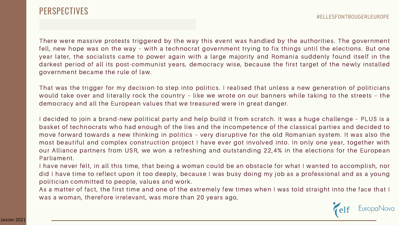

There were massive protests triggered by the way this event was handled by the authorities. The government fell, new hope was on the way – with a technocrat government trying to fix things until the elections. But one year later, the socialists came to power again with a large majority and Romania suddenly found itself in the darkest period of all its post-communist years, democracy wise, because the first target of the newly installed government became the rule of law.

That was the trigger for my decision to step into politics. I realised that unless a new generation of politicians would take over and literally rock the country – like we wrote on our banners while taking to the streets – the democracy and all the European values that we treasured were in great danger.

I decided to join a brand-new political party and help build it from scratch. It was a huge challenge – PLUS is a basket of technocrats who had enough of the lies and the incompetence of the classical parties and decided to move forward towards a new thinking in politics – very disruptive for the old Romanian system. It was also the most beautiful and complex construction project I have ever got involved into. In only one year, together with our Alliance partners from USR, we won a refreshing and outstanding 22,4% in the elections for the European Parliament.

I have never felt, in all this time, that being a woman could be an obstacle for what I wanted to accomplish, nor did I have time to reflect upon it too deeply, because I was busy doing my job as a professional and as a young politician committed to people, values and work.

As a matter of fact, the first time and one of the extremely few times when I was told straight into the face that I was a woman, therefore irrelevant, was more than 20 years ago,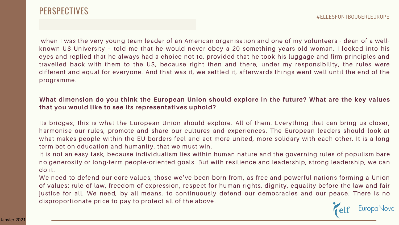

when I was the very young team leader of an American organisation and one of my volunteers - dean of a wellknown US University – told me that he would never obey a 20 something years old woman. I looked into his eyes and replied that he always had a choice not to, provided that he took his luggage and firm principles and travelled back with them to the US, because right then and there, under my responsibility, the rules were different and equal for everyone. And that was it, we settled it, afterwards things went well until the end of the programme.

## What dimension do you think the European Union should explore in the future? What are the key values **that you would like to see its representatives uphold?**

Its bridges, this is what the European Union should explore. All of them. Everything that can bring us closer, harmonise our rules, promote and share our cultures and experiences. The European leaders should look at what makes people within the EU borders feel and act more united, more solidary with each other. It is a long term bet on education and humanity, that we must win.

It is not an easy task, because individualism lies within human nature and the governing rules of populism bare no generosity or long-term people-oriented goals. But with resilience and leadership, strong leadership, we can do it.

We need to defend our core values, those we've been born from, as free and powerful nations forming a Union of values: rule of law, freedom of expression, respect for human rights, dignity, equality before the law and fair justice for all. We need, by all means, to continuously defend our democracies and our peace. There is no disproportionate price to pay to protect all of the above.